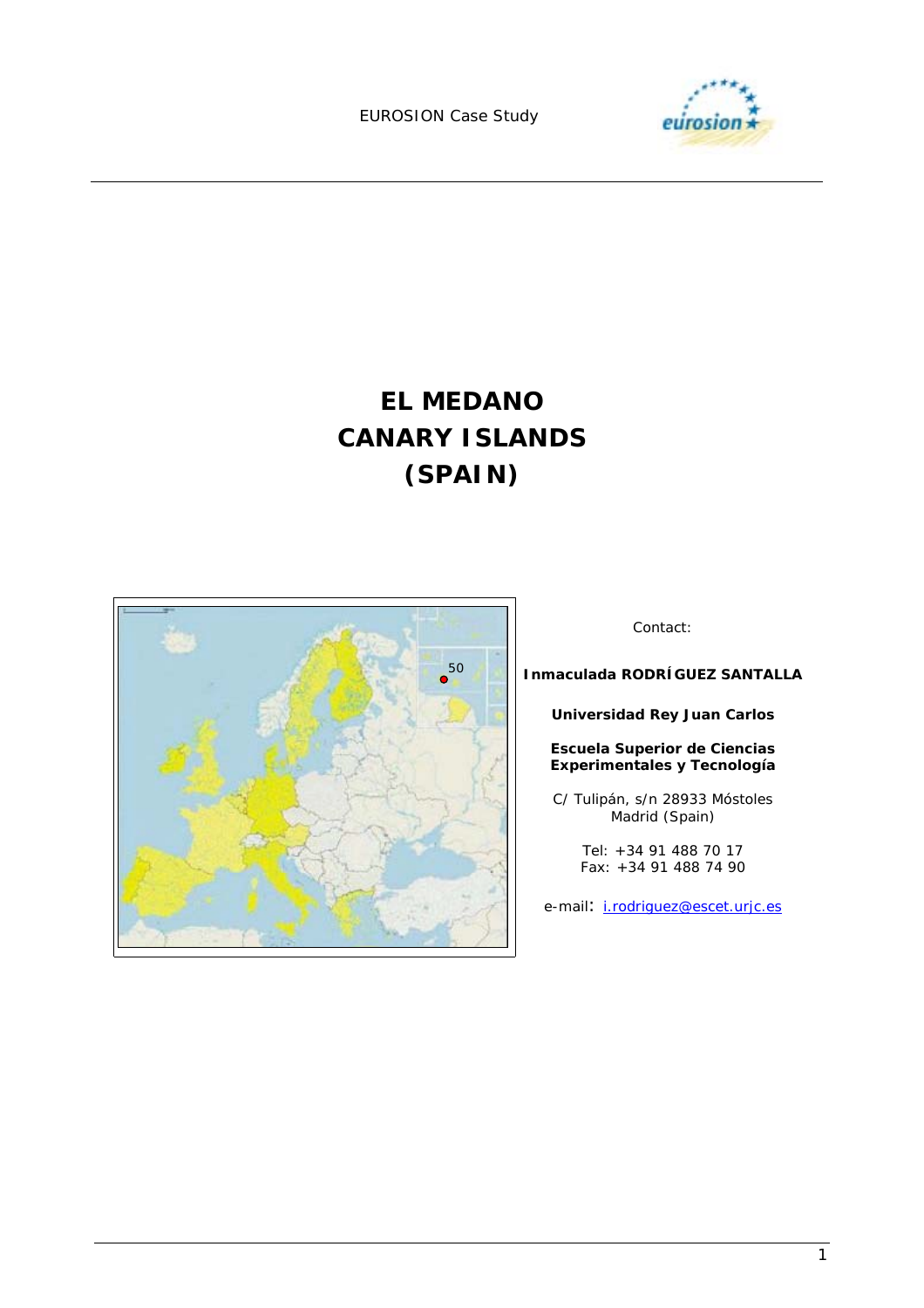

# **EL MEDANO CANARY ISLANDS (SPAIN)**



#### Contact:

#### **Inmaculada RODRÍGUEZ SANTALLA**

#### **Universidad Rey Juan Carlos**

#### **Escuela Superior de Ciencias Experimentales y Tecnología**

C/ Tulipán, s/n 28933 Móstoles Madrid (Spain)

> Tel: +34 91 488 70 17 Fax: +34 91 488 74 90

e-mail: i.rodriguez@escet.urjc.es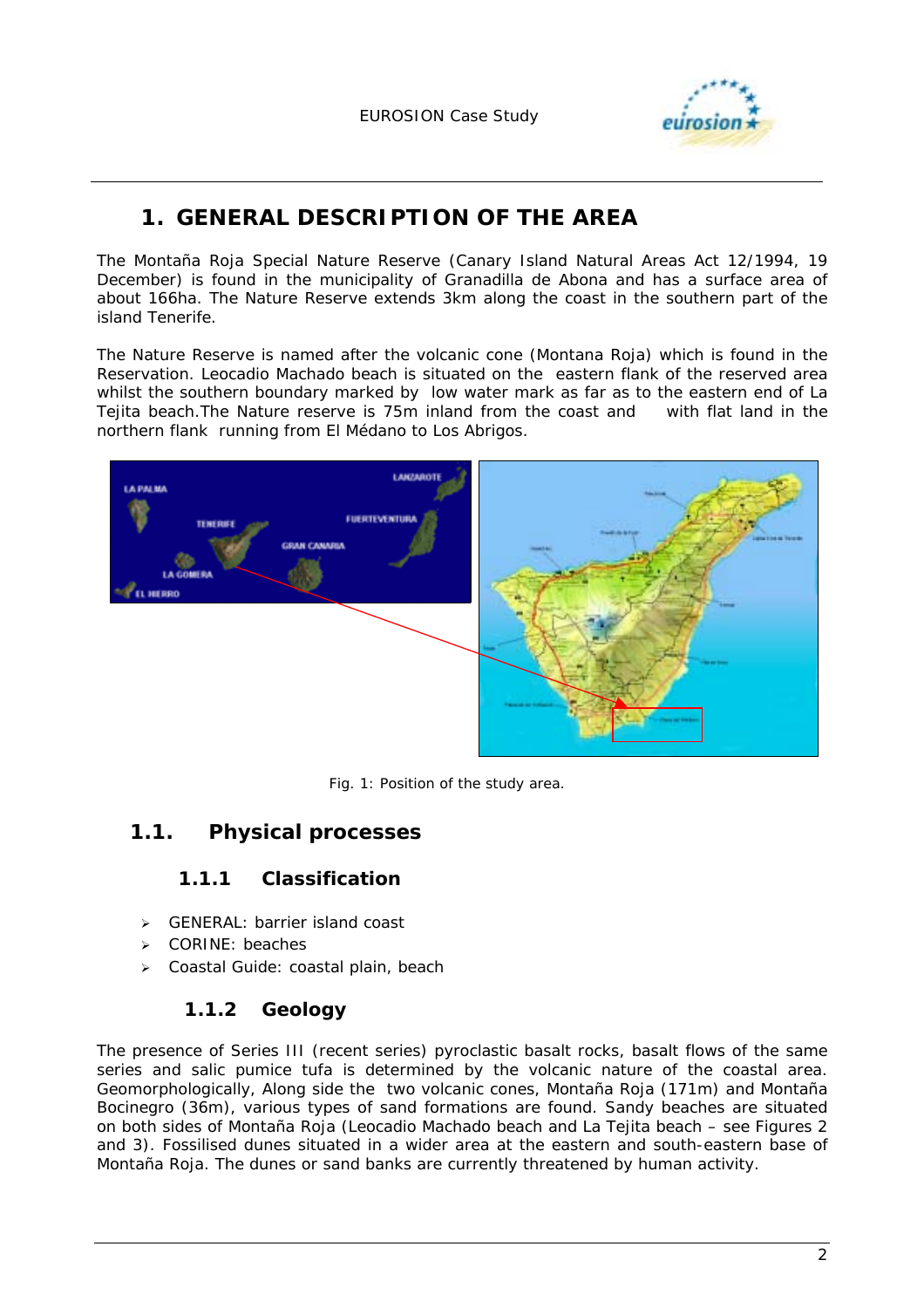

# **1. GENERAL DESCRIPTION OF THE AREA**

The Montaña Roja Special Nature Reserve (Canary Island Natural Areas Act 12/1994, 19 December) is found in the municipality of Granadilla de Abona and has a surface area of about 166ha. The Nature Reserve extends 3km along the coast in the southern part of the island Tenerife.

The Nature Reserve is named after the volcanic cone (Montana Roja) which is found in the Reservation. Leocadio Machado beach is situated on the eastern flank of the reserved area whilst the southern boundary marked by low water mark as far as to the eastern end of La Tejita beach.The Nature reserve is 75m inland from the coast and with flat land in the northern flank running from El Médano to Los Abrigos.



*Fig. 1: Position of the study area.* 

### **1.1. Physical processes**

### **1.1.1 Classification**

- > GENERAL: barrier island coast
- > CORINE: beaches
- > Coastal Guide: coastal plain, beach

### **1.1.2 Geology**

The presence of Series III (recent series) pyroclastic basalt rocks, basalt flows of the same series and salic pumice tufa is determined by the volcanic nature of the coastal area. Geomorphologically, Along side the two volcanic cones, Montaña Roja (171m) and Montaña Bocinegro (36m), various types of sand formations are found. Sandy beaches are situated on both sides of Montaña Roja (Leocadio Machado beach and La Tejita beach – see Figures 2 and 3). Fossilised dunes situated in a wider area at the eastern and south-eastern base of Montaña Roja. The dunes or sand banks are currently threatened by human activity.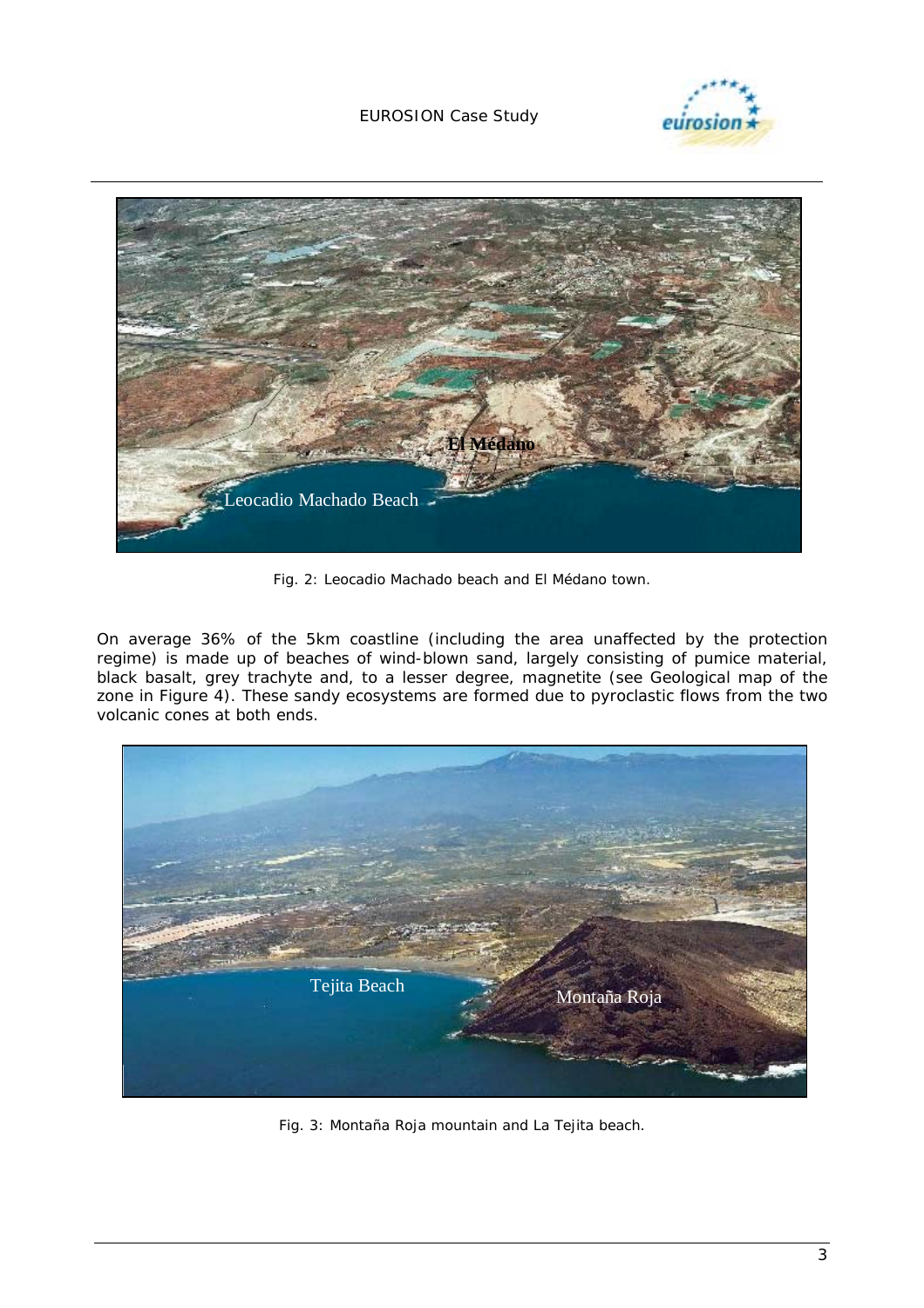



*Fig. 2: Leocadio Machado beach and El Médano town.* 

On average 36% of the 5km coastline (including the area unaffected by the protection regime) is made up of beaches of wind-blown sand, largely consisting of pumice material, black basalt, grey trachyte and, to a lesser degree, magnetite (see Geological map of the zone in Figure 4). These sandy ecosystems are formed due to pyroclastic flows from the two volcanic cones at both ends.



*Fig. 3: Montaña Roja mountain and La Tejita beach.*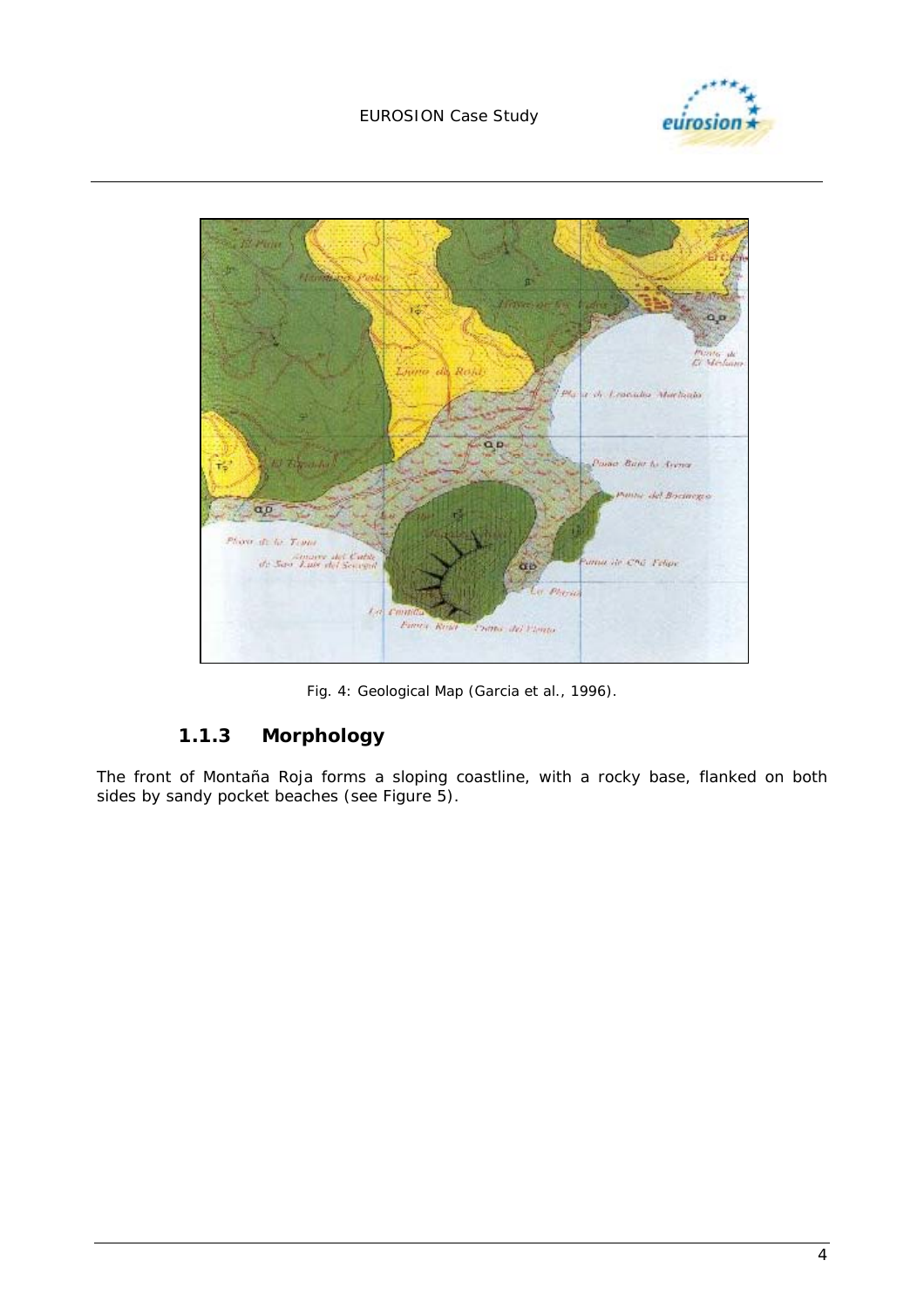



*Fig. 4: Geological Map (Garcia et al., 1996).* 

## **1.1.3 Morphology**

The front of Montaña Roja forms a sloping coastline, with a rocky base, flanked on both sides by sandy pocket beaches (see Figure 5).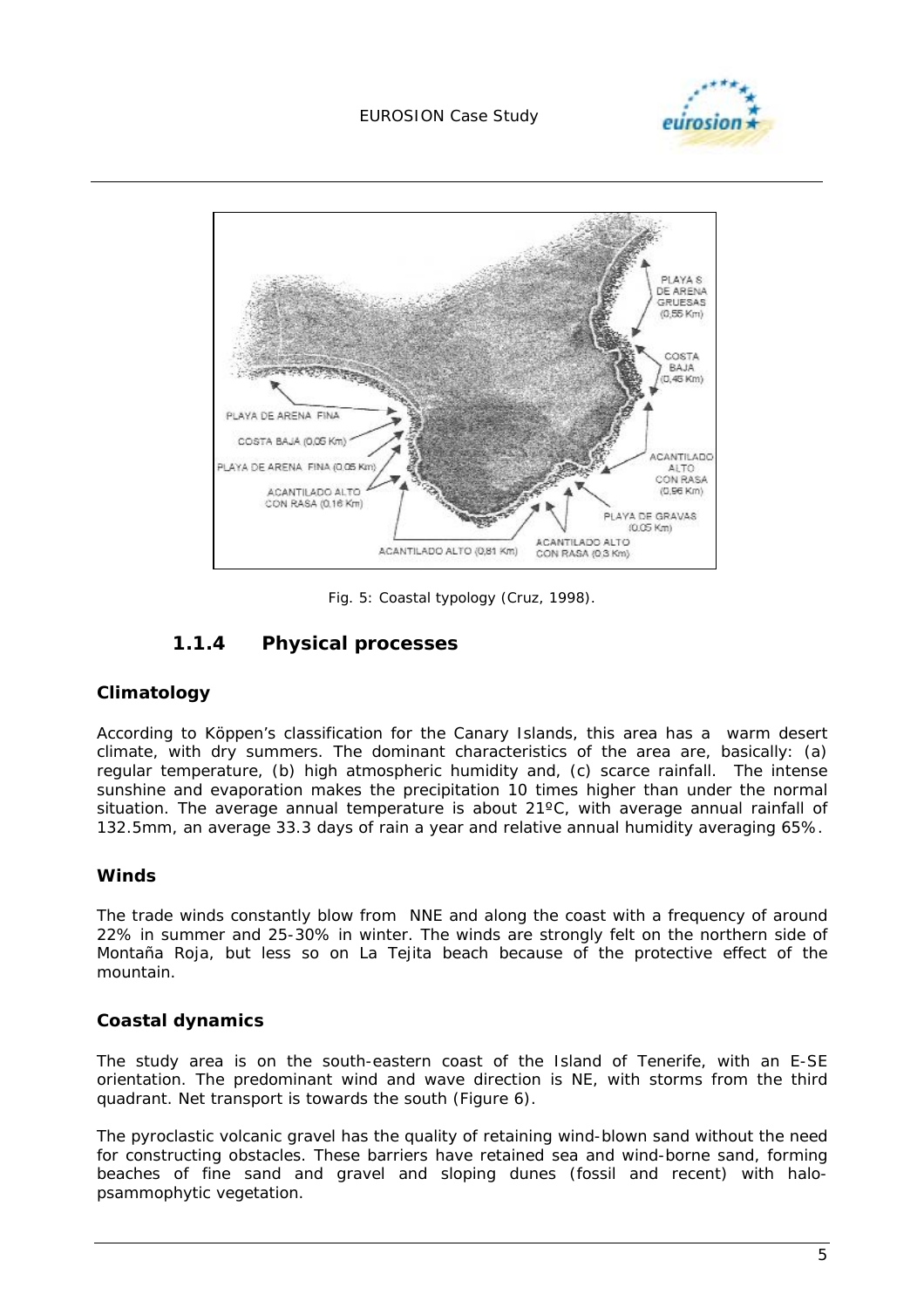



*Fig. 5: Coastal typology (Cruz, 1998).* 

### **1.1.4 Physical processes**

#### **Climatology**

According to Köppen's classification for the Canary Islands, this area has a warm desert climate, with dry summers. The dominant characteristics of the area are, basically: (a) regular temperature, (b) high atmospheric humidity and, (c) scarce rainfall. The intense sunshine and evaporation makes the precipitation 10 times higher than under the normal situation. The average annual temperature is about 21ºC, with average annual rainfall of 132.5mm, an average 33.3 days of rain a year and relative annual humidity averaging 65%.

#### **Winds**

The trade winds constantly blow from NNE and along the coast with a frequency of around 22% in summer and 25-30% in winter. The winds are strongly felt on the northern side of Montaña Roja, but less so on La Tejita beach because of the protective effect of the mountain.

#### **Coastal dynamics**

The study area is on the south-eastern coast of the Island of Tenerife, with an E-SE orientation. The predominant wind and wave direction is NE, with storms from the third quadrant. Net transport is towards the south (Figure 6).

The pyroclastic volcanic gravel has the quality of retaining wind-blown sand without the need for constructing obstacles. These barriers have retained sea and wind-borne sand, forming beaches of fine sand and gravel and sloping dunes (fossil and recent) with halopsammophytic vegetation.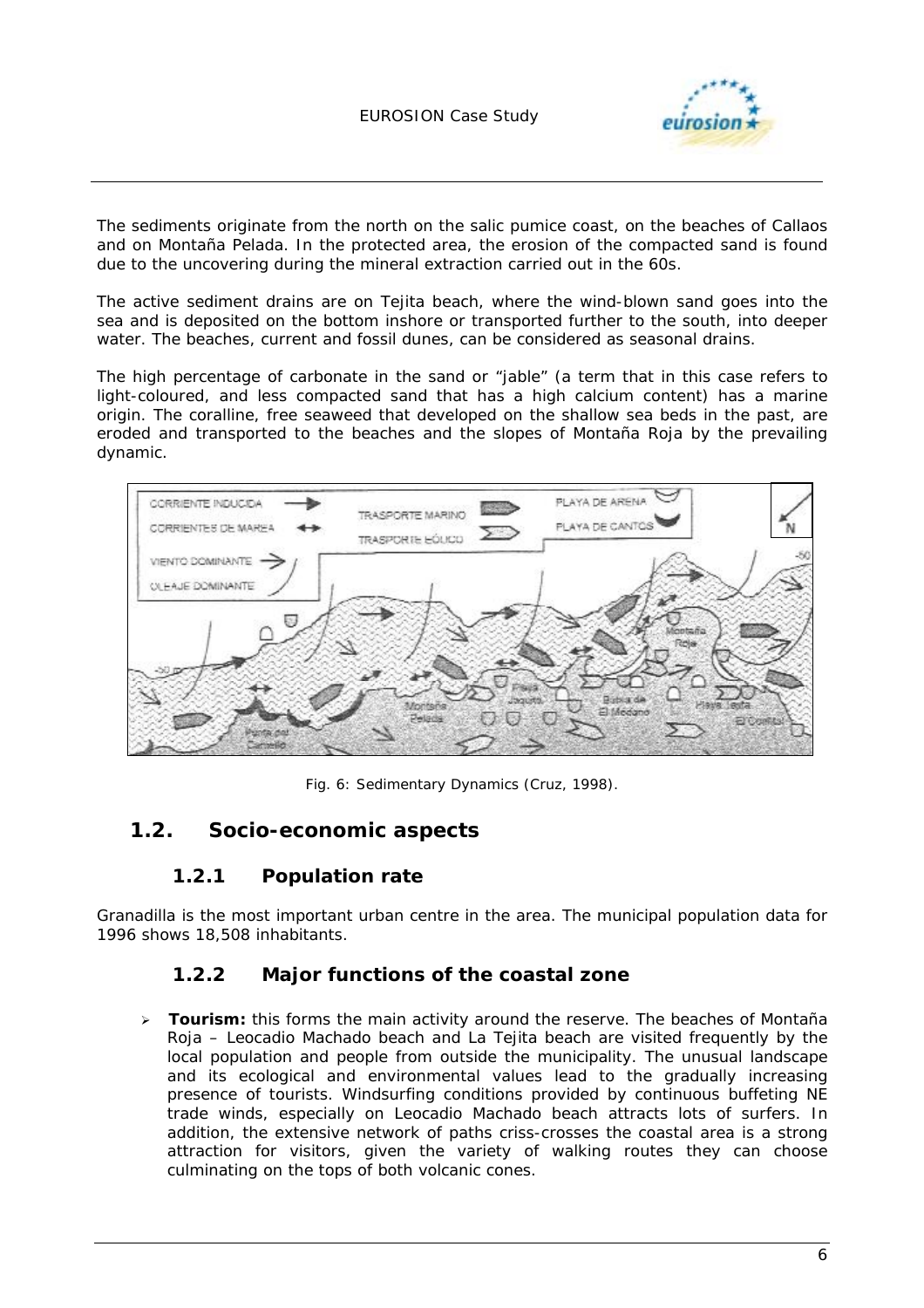

The sediments originate from the north on the salic pumice coast, on the beaches of Callaos and on Montaña Pelada. In the protected area, the erosion of the compacted sand is found due to the uncovering during the mineral extraction carried out in the 60s.

The active sediment drains are on Tejita beach, where the wind-blown sand goes into the sea and is deposited on the bottom inshore or transported further to the south, into deeper water. The beaches, current and fossil dunes, can be considered as seasonal drains.

The high percentage of carbonate in the sand or "jable" (a term that in this case refers to light-coloured, and less compacted sand that has a high calcium content) has a marine origin. The coralline, free seaweed that developed on the shallow sea beds in the past, are eroded and transported to the beaches and the slopes of Montaña Roja by the prevailing dynamic.



*Fig. 6: Sedimentary Dynamics (Cruz, 1998).* 

### **1.2. Socio-economic aspects**

### **1.2.1 Population rate**

Granadilla is the most important urban centre in the area. The municipal population data for 1996 shows 18,508 inhabitants.

#### **1.2.2 Major functions of the coastal zone**

! **Tourism:** this forms the main activity around the reserve. The beaches of Montaña Roja – Leocadio Machado beach and La Tejita beach are visited frequently by the local population and people from outside the municipality. The unusual landscape and its ecological and environmental values lead to the gradually increasing presence of tourists. Windsurfing conditions provided by continuous buffeting NE trade winds, especially on Leocadio Machado beach attracts lots of surfers. In addition, the extensive network of paths criss-crosses the coastal area is a strong attraction for visitors, given the variety of walking routes they can choose culminating on the tops of both volcanic cones.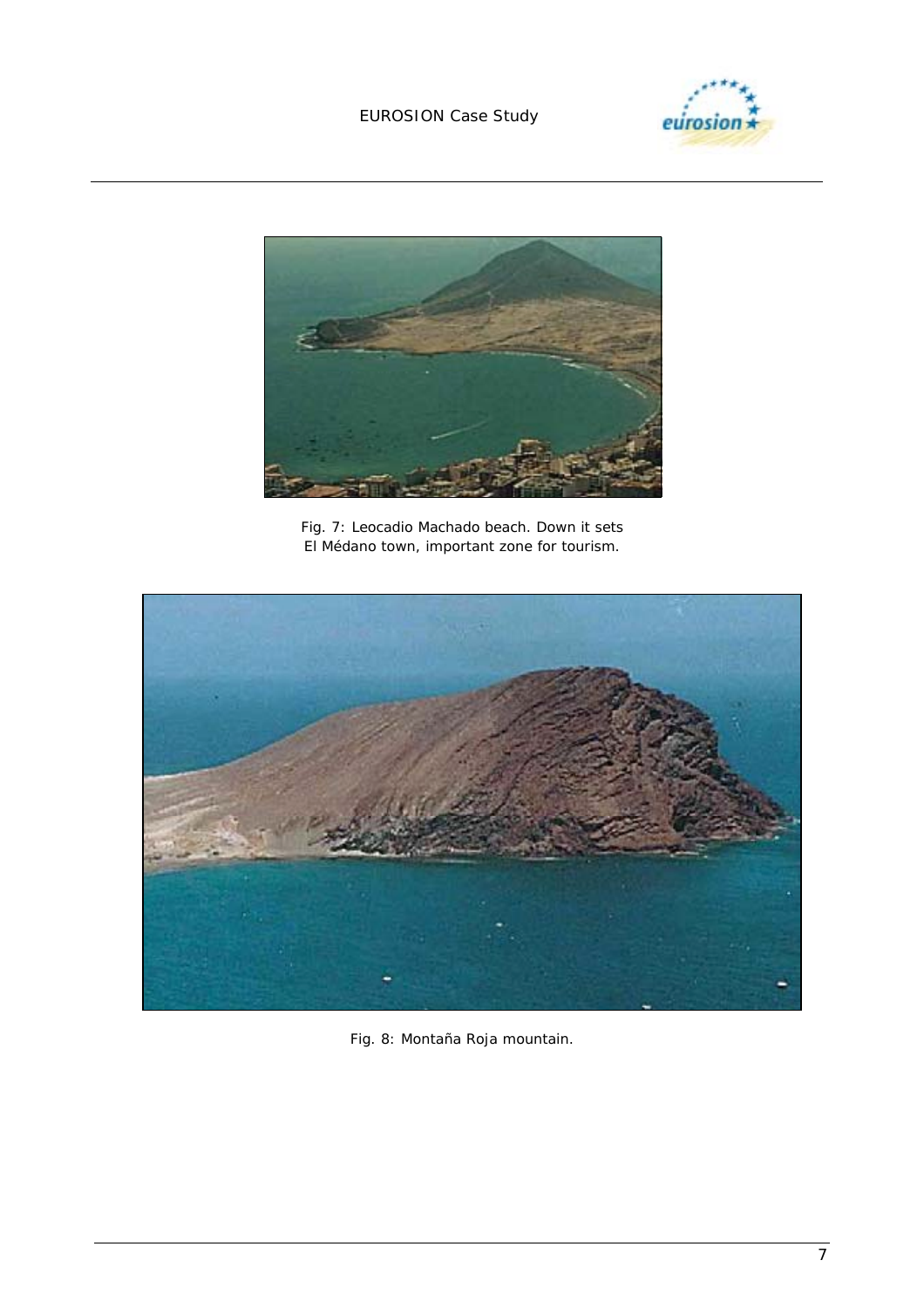



*Fig. 7: Leocadio Machado beach. Down it sets El Médano town, important zone for tourism.* 



*Fig. 8: Montaña Roja mountain.*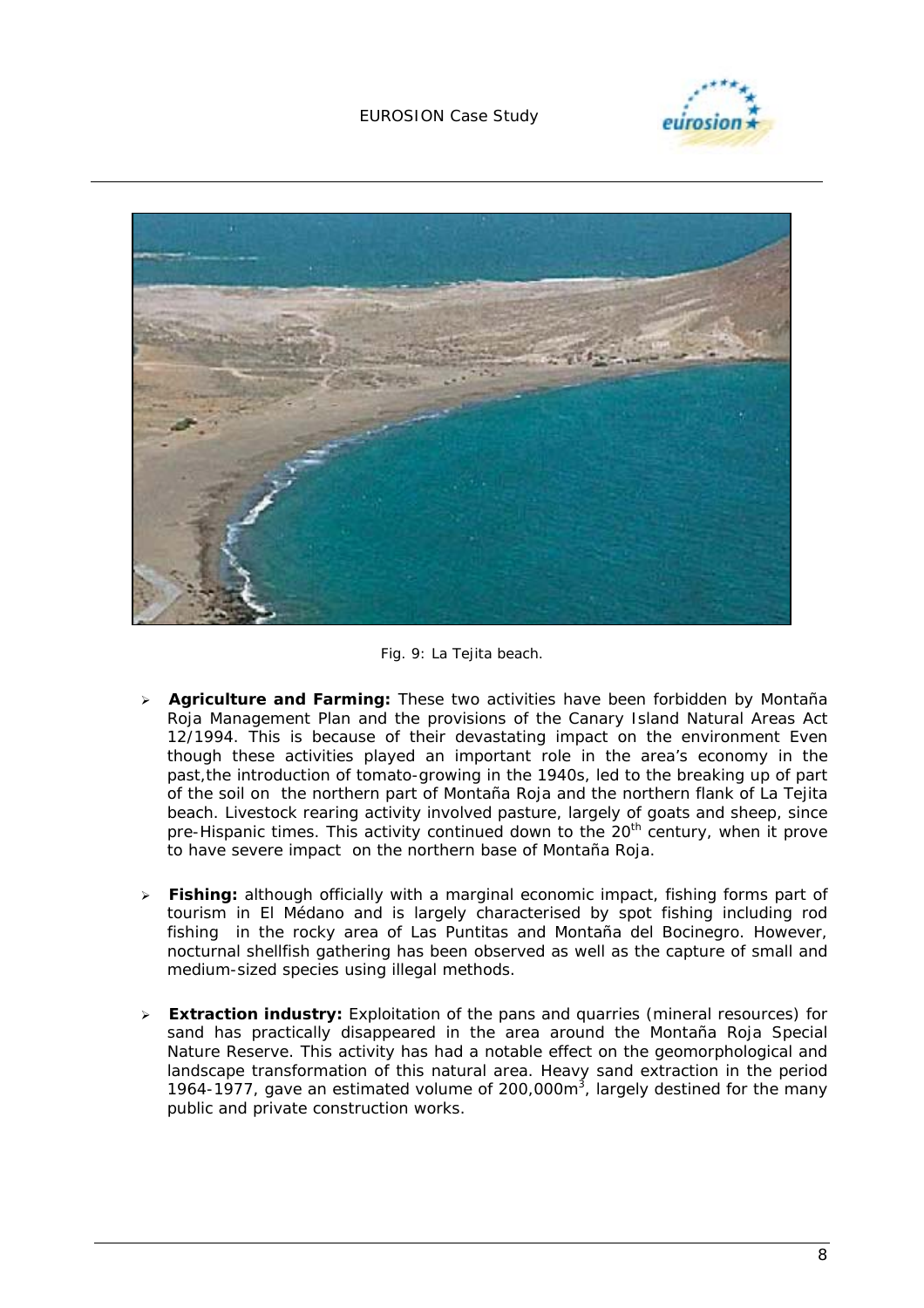



*Fig. 9: La Tejita beach.* 

- ! **Agriculture and Farming:** These two activities have been forbidden by Montaña Roja Management Plan and the provisions of the Canary Island Natural Areas Act 12/1994. This is because of their devastating impact on the environment Even though these activities played an important role in the area's economy in the past,the introduction of tomato-growing in the 1940s, led to the breaking up of part of the soil on the northern part of Montaña Roja and the northern flank of La Tejita beach. Livestock rearing activity involved pasture, largely of goats and sheep, since pre-Hispanic times. This activity continued down to the 20<sup>th</sup> century, when it prove to have severe impact on the northern base of Montaña Roja.
- ! **Fishing:** although officially with a marginal economic impact, fishing forms part of tourism in El Médano and is largely characterised by spot fishing including rod fishing in the rocky area of Las Puntitas and Montaña del Bocinegro. However, nocturnal shellfish gathering has been observed as well as the capture of small and medium-sized species using illegal methods.
- ! **Extraction industry:** Exploitation of the pans and quarries (mineral resources) for sand has practically disappeared in the area around the Montaña Roja Special Nature Reserve. This activity has had a notable effect on the geomorphological and landscape transformation of this natural area. Heavy sand extraction in the period 1964-1977, gave an estimated volume of 200,000 $m<sup>3</sup>$ , largely destined for the many public and private construction works.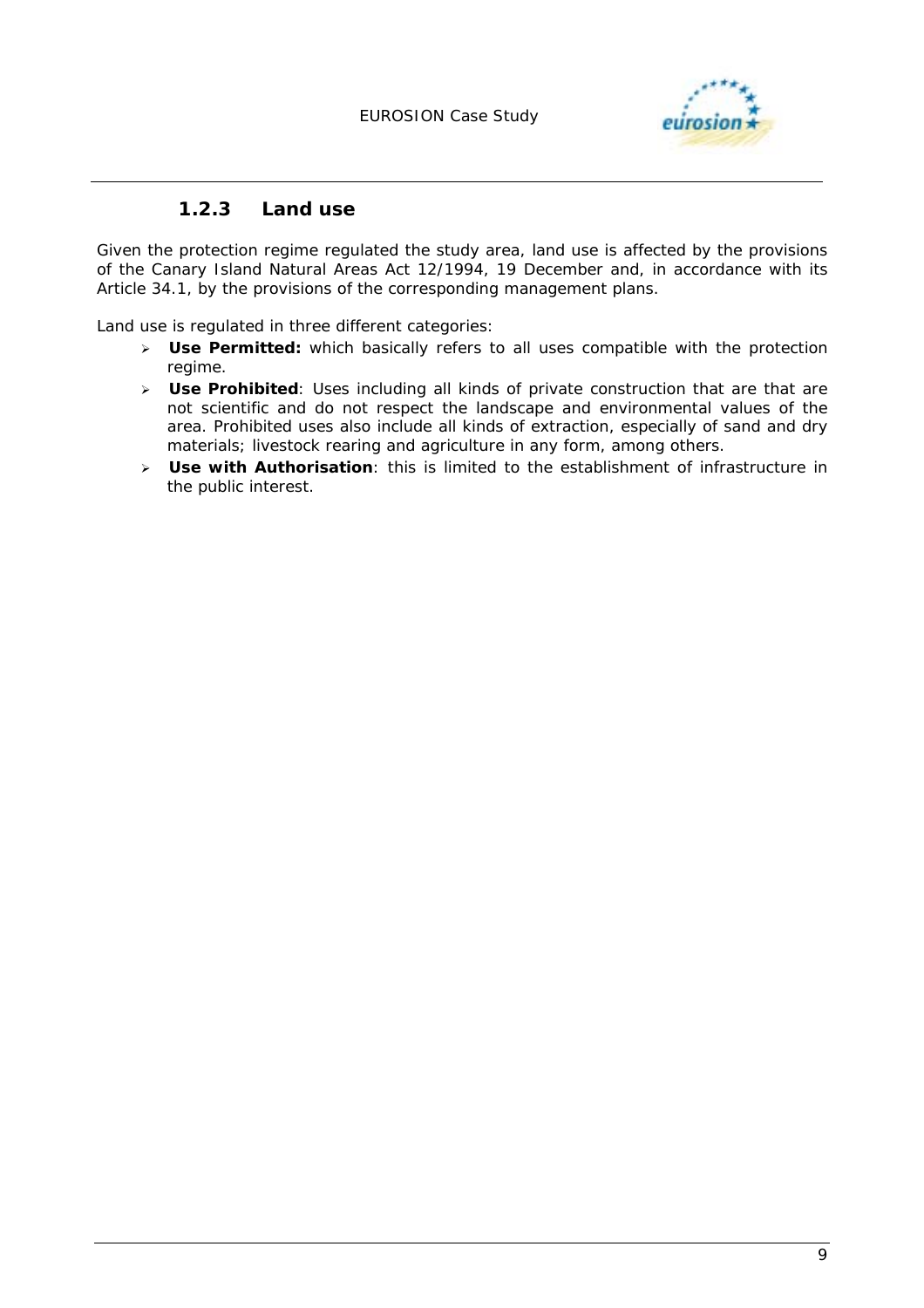

### **1.2.3 Land use**

Given the protection regime regulated the study area, land use is affected by the provisions of the Canary Island Natural Areas Act 12/1994, 19 December and, in accordance with its Article 34.1, by the provisions of the corresponding management plans.

Land use is regulated in three different categories:

- > Use Permitted: which basically refers to all uses compatible with the protection regime.
- ! **Use Prohibited***:* Uses including all kinds of private construction that are that are not scientific and do not respect the landscape and environmental values of the area. Prohibited uses also include all kinds of extraction, especially of sand and dry materials; livestock rearing and agriculture in any form, among others.
- ! **Use with Authorisation***:* this is limited to the establishment of infrastructure in the public interest.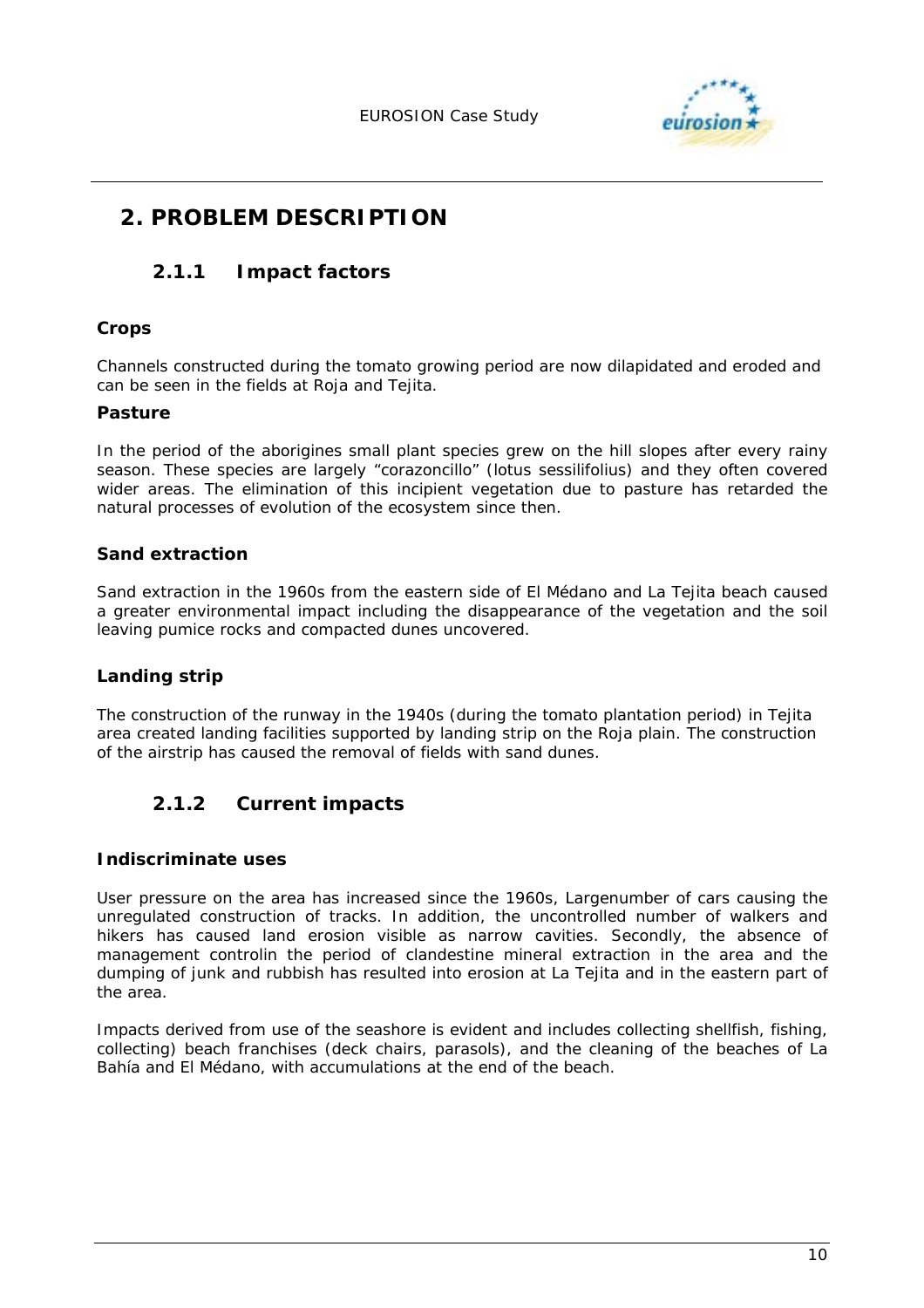

# **2. PROBLEM DESCRIPTION**

### **2.1.1 Impact factors**

#### **Crops**

Channels constructed during the tomato growing period are now dilapidated and eroded and can be seen in the fields at Roja and Tejita.

#### **Pasture**

In the period of the aborigines small plant species grew on the hill slopes after every rainy season. These species are largely "corazoncillo" (lotus sessilifolius) and they often covered wider areas. The elimination of this incipient vegetation due to pasture has retarded the natural processes of evolution of the ecosystem since then.

#### **Sand extraction**

Sand extraction in the 1960s from the eastern side of El Médano and La Tejita beach caused a greater environmental impact including the disappearance of the vegetation and the soil leaving pumice rocks and compacted dunes uncovered.

#### **Landing strip**

The construction of the runway in the 1940s (during the tomato plantation period) in Tejita area created landing facilities supported by landing strip on the Roja plain. The construction of the airstrip has caused the removal of fields with sand dunes.

### **2.1.2 Current impacts**

#### **Indiscriminate uses**

User pressure on the area has increased since the 1960s, Largenumber of cars causing the unregulated construction of tracks. In addition, the uncontrolled number of walkers and hikers has caused land erosion visible as narrow cavities. Secondly, the absence of management controlin the period of clandestine mineral extraction in the area and the dumping of junk and rubbish has resulted into erosion at La Tejita and in the eastern part of the area.

Impacts derived from use of the seashore is evident and includes collecting shellfish, fishing, collecting) beach franchises (deck chairs, parasols), and the cleaning of the beaches of La Bahía and El Médano, with accumulations at the end of the beach.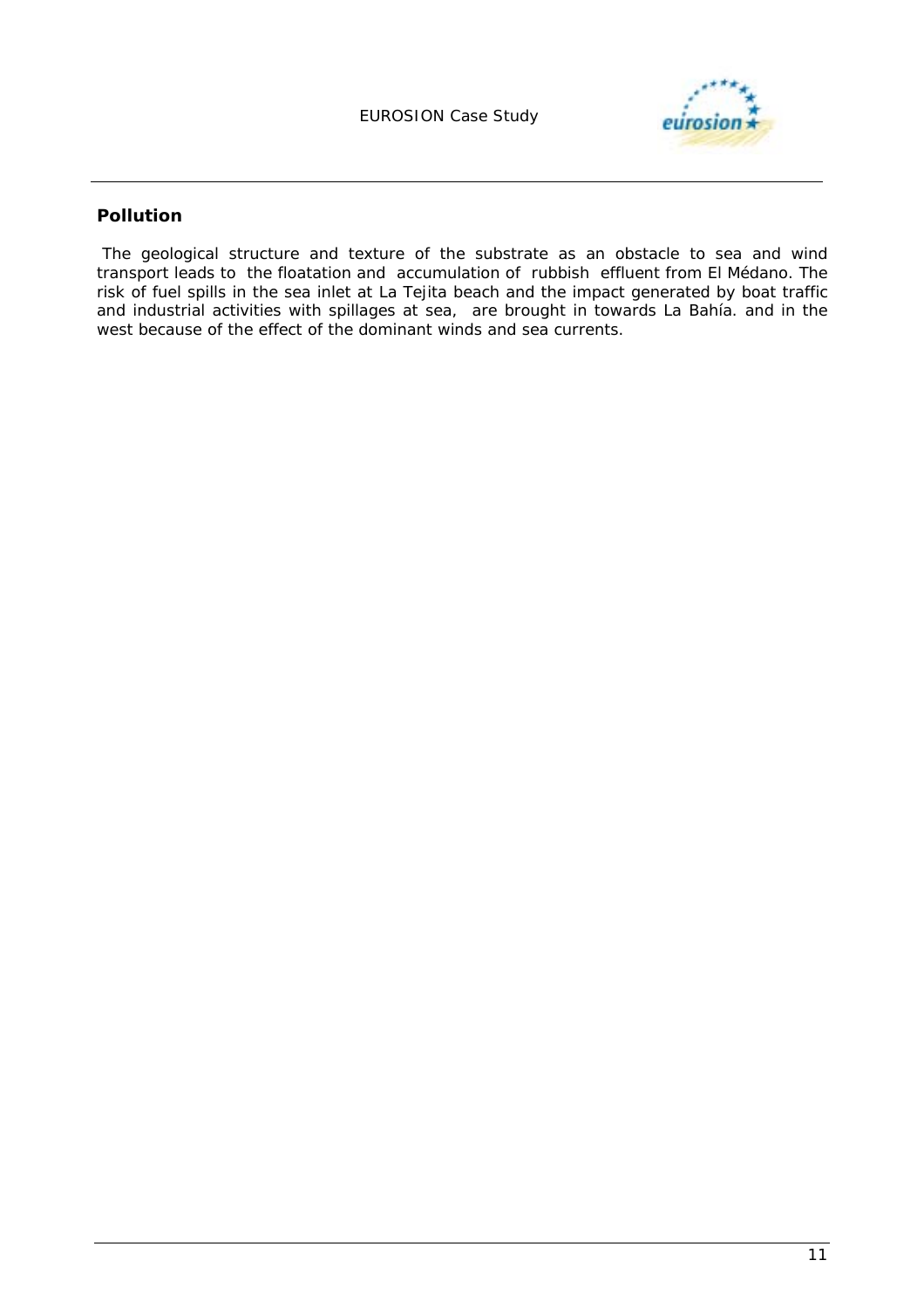

#### **Pollution**

 The geological structure and texture of the substrate as an obstacle to sea and wind transport leads to the floatation and accumulation of rubbish effluent from El Médano. The risk of fuel spills in the sea inlet at La Tejita beach and the impact generated by boat traffic and industrial activities with spillages at sea, are brought in towards La Bahía. and in the west because of the effect of the dominant winds and sea currents.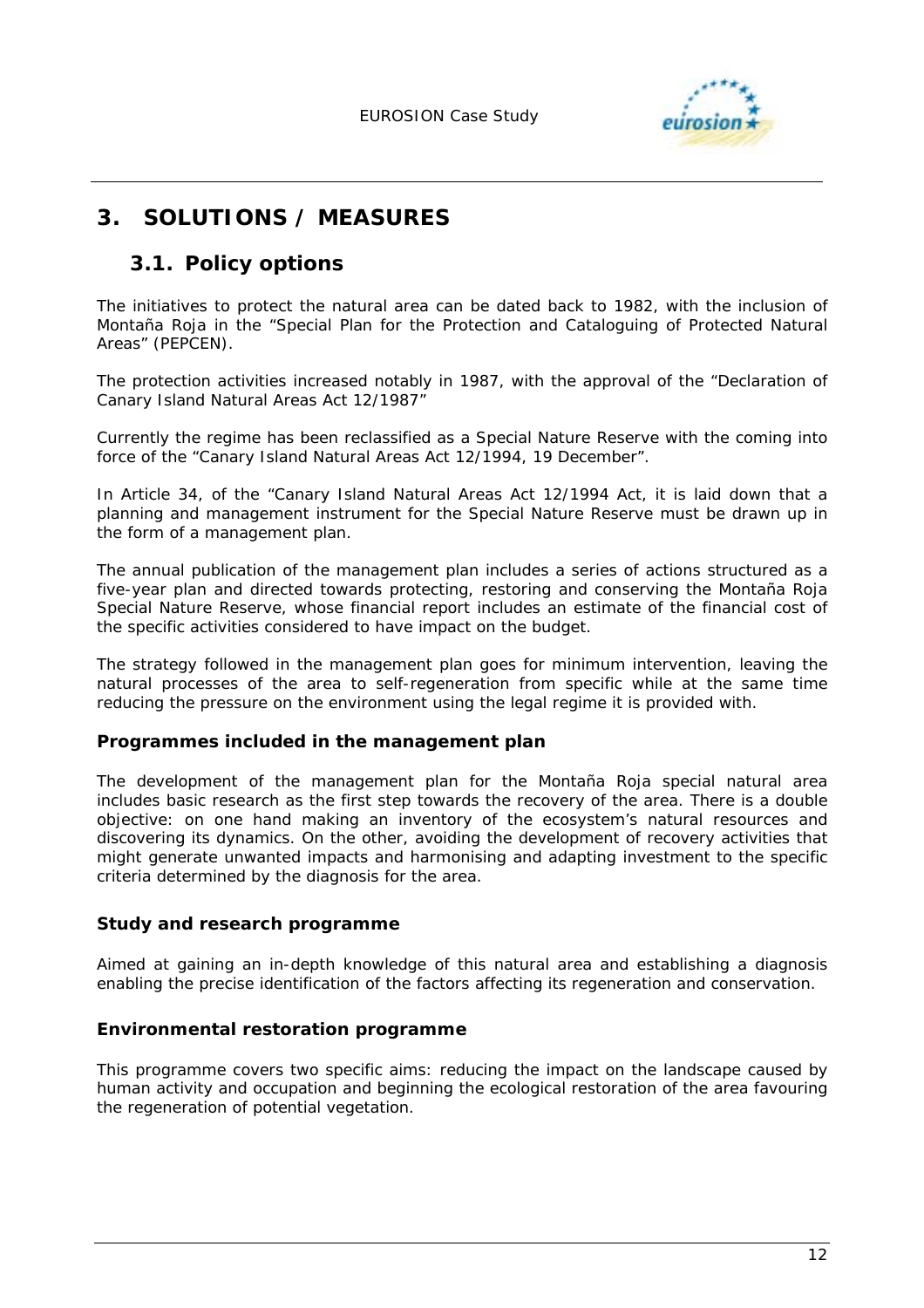

# **3. SOLUTIONS / MEASURES**

### **3.1. Policy options**

The initiatives to protect the natural area can be dated back to 1982, with the inclusion of Montaña Roja in the "*Special Plan for the Protection and Cataloguing of Protected Natural Areas*" (PEPCEN).

The protection activities increased notably in 1987, with the approval of the "*Declaration of Canary Island Natural Areas Act 12/1987"*

Currently the regime has been reclassified as a Special Nature Reserve with the coming into force of the "*Canary Island Natural Areas Act 12/1994, 19 December".*

In Article 34, of the "*Canary Island Natural Areas Act 12/1994* Act, it is laid down that a planning and management instrument for the Special Nature Reserve must be drawn up in the form of a management plan.

The annual publication of the management plan includes a series of actions structured as a five-year plan and directed towards protecting, restoring and conserving the Montaña Roja Special Nature Reserve, whose financial report includes an estimate of the financial cost of the specific activities considered to have impact on the budget.

The strategy followed in the management plan goes for minimum intervention, leaving the natural processes of the area to self-regeneration from specific while at the same time reducing the pressure on the environment using the legal regime it is provided with.

#### **Programmes included in the management plan**

The development of the management plan for the Montaña Roja special natural area includes basic research as the first step towards the recovery of the area. There is a double objective: on one hand making an inventory of the ecosystem's natural resources and discovering its dynamics. On the other, avoiding the development of recovery activities that might generate unwanted impacts and harmonising and adapting investment to the specific criteria determined by the diagnosis for the area.

#### **Study and research programme**

Aimed at gaining an in-depth knowledge of this natural area and establishing a diagnosis enabling the precise identification of the factors affecting its regeneration and conservation.

#### **Environmental restoration programme**

This programme covers two specific aims: reducing the impact on the landscape caused by human activity and occupation and beginning the ecological restoration of the area favouring the regeneration of potential vegetation.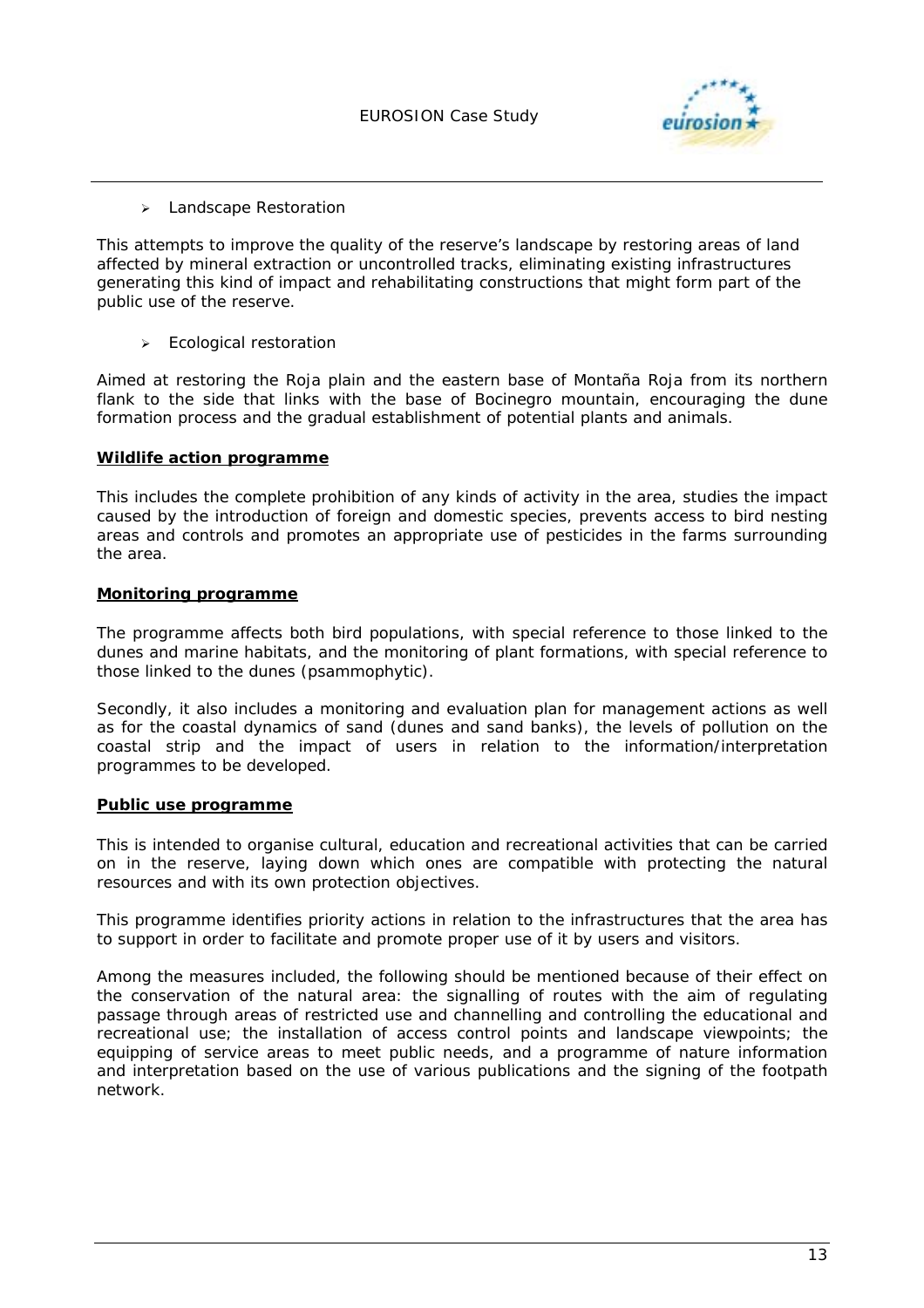

> Landscape Restoration

This attempts to improve the quality of the reserve's landscape by restoring areas of land affected by mineral extraction or uncontrolled tracks, eliminating existing infrastructures generating this kind of impact and rehabilitating constructions that might form part of the public use of the reserve.

 $\triangleright$  Ecological restoration

Aimed at restoring the Roja plain and the eastern base of Montaña Roja from its northern flank to the side that links with the base of Bocinegro mountain, encouraging the dune formation process and the gradual establishment of potential plants and animals.

#### **Wildlife action programme**

This includes the complete prohibition of any kinds of activity in the area, studies the impact caused by the introduction of foreign and domestic species, prevents access to bird nesting areas and controls and promotes an appropriate use of pesticides in the farms surrounding the area.

#### **Monitoring programme**

The programme affects both bird populations, with special reference to those linked to the dunes and marine habitats, and the monitoring of plant formations, with special reference to those linked to the dunes (psammophytic).

Secondly, it also includes a monitoring and evaluation plan for management actions as well as for the coastal dynamics of sand (dunes and sand banks), the levels of pollution on the coastal strip and the impact of users in relation to the information/interpretation programmes to be developed.

#### **Public use programme**

This is intended to organise cultural, education and recreational activities that can be carried on in the reserve, laying down which ones are compatible with protecting the natural resources and with its own protection objectives.

This programme identifies priority actions in relation to the infrastructures that the area has to support in order to facilitate and promote proper use of it by users and visitors.

Among the measures included, the following should be mentioned because of their effect on the conservation of the natural area: the signalling of routes with the aim of regulating passage through areas of restricted use and channelling and controlling the educational and recreational use; the installation of access control points and landscape viewpoints; the equipping of service areas to meet public needs, and a programme of nature information and interpretation based on the use of various publications and the signing of the footpath network.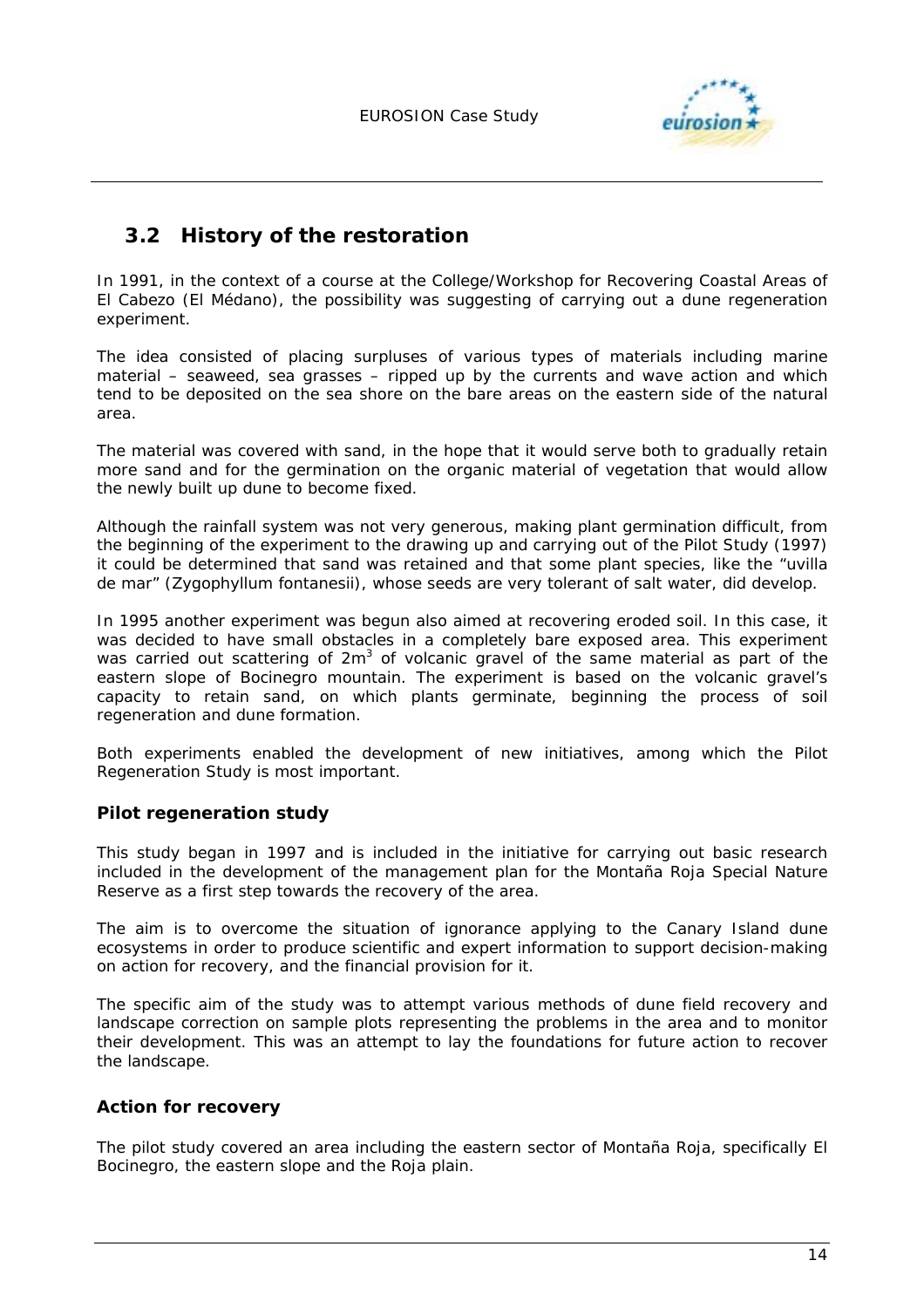

### **3.2 History of the restoration**

In 1991, in the context of a course at the College/Workshop for Recovering Coastal Areas of El Cabezo (El Médano), the possibility was suggesting of carrying out a dune regeneration experiment.

The idea consisted of placing surpluses of various types of materials including marine material – seaweed, sea grasses – ripped up by the currents and wave action and which tend to be deposited on the sea shore on the bare areas on the eastern side of the natural area.

The material was covered with sand, in the hope that it would serve both to gradually retain more sand and for the germination on the organic material of vegetation that would allow the newly built up dune to become fixed.

Although the rainfall system was not very generous, making plant germination difficult, from the beginning of the experiment to the drawing up and carrying out of the Pilot Study (1997) it could be determined that sand was retained and that some plant species, like the "uvilla de mar" (Zygophyllum fontanesii), whose seeds are very tolerant of salt water, did develop.

In 1995 another experiment was begun also aimed at recovering eroded soil. In this case, it was decided to have small obstacles in a completely bare exposed area. This experiment was carried out scattering of  $2m^3$  of volcanic gravel of the same material as part of the eastern slope of Bocinegro mountain. The experiment is based on the volcanic gravel's capacity to retain sand, on which plants germinate, beginning the process of soil regeneration and dune formation.

Both experiments enabled the development of new initiatives, among which the Pilot Regeneration Study is most important.

#### **Pilot regeneration study**

This study began in 1997 and is included in the initiative for carrying out basic research included in the development of the management plan for the Montaña Roja Special Nature Reserve as a first step towards the recovery of the area.

The aim is to overcome the situation of ignorance applying to the Canary Island dune ecosystems in order to produce scientific and expert information to support decision-making on action for recovery, and the financial provision for it.

The specific aim of the study was to attempt various methods of dune field recovery and landscape correction on sample plots representing the problems in the area and to monitor their development. This was an attempt to lay the foundations for future action to recover the landscape.

#### **Action for recovery**

The pilot study covered an area including the eastern sector of Montaña Roja, specifically El Bocinegro, the eastern slope and the Roja plain.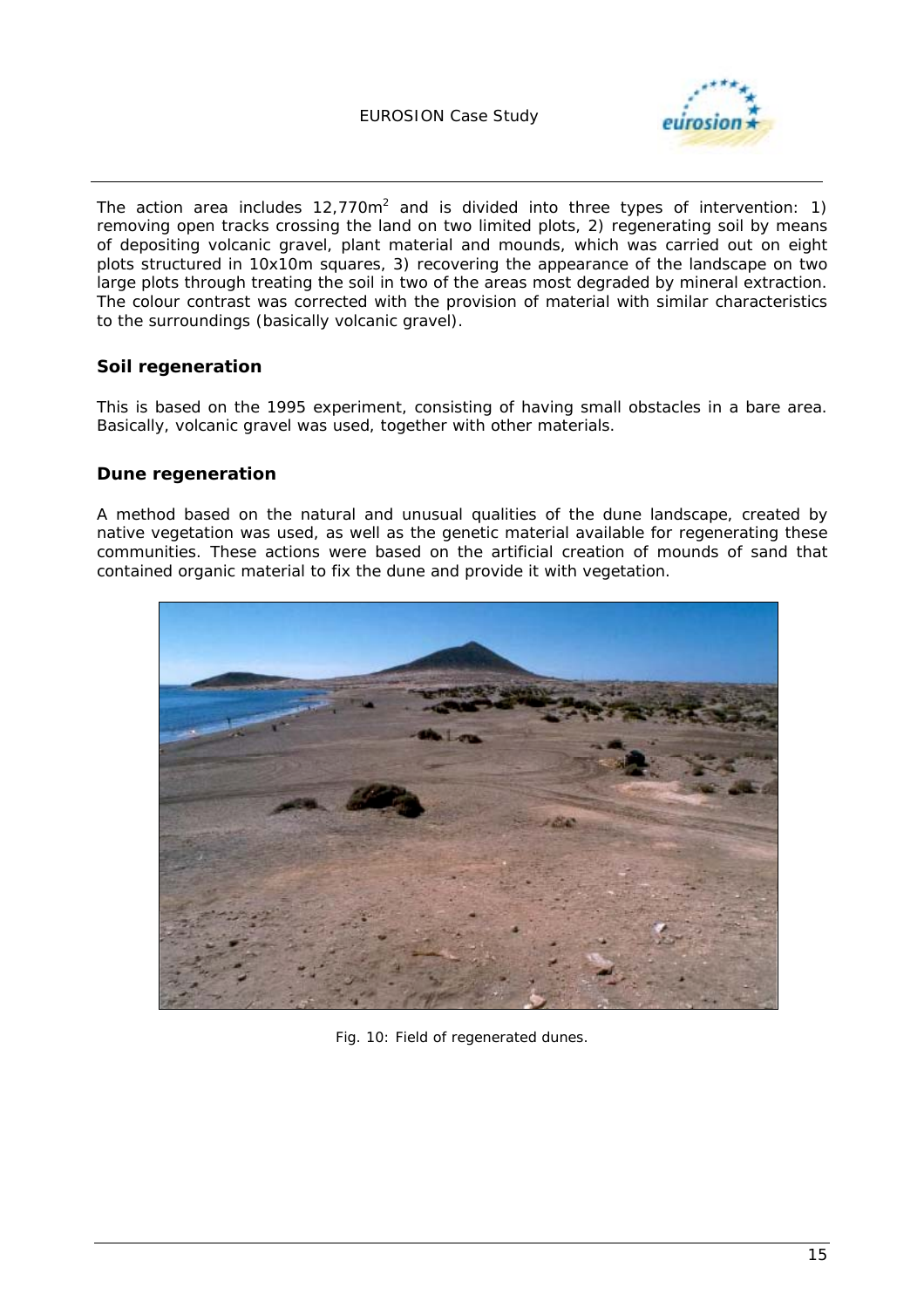

The action area includes 12,770 $m^2$  and is divided into three types of intervention: 1) removing open tracks crossing the land on two limited plots, 2) regenerating soil by means of depositing volcanic gravel, plant material and mounds, which was carried out on eight plots structured in 10x10m squares, 3) recovering the appearance of the landscape on two large plots through treating the soil in two of the areas most degraded by mineral extraction. The colour contrast was corrected with the provision of material with similar characteristics to the surroundings (basically volcanic gravel).

#### **Soil regeneration**

This is based on the 1995 experiment, consisting of having small obstacles in a bare area. Basically, volcanic gravel was used, together with other materials.

#### **Dune regeneration**

A method based on the natural and unusual qualities of the dune landscape, created by native vegetation was used, as well as the genetic material available for regenerating these communities. These actions were based on the artificial creation of mounds of sand that contained organic material to fix the dune and provide it with vegetation.



*Fig. 10: Field of regenerated dunes.*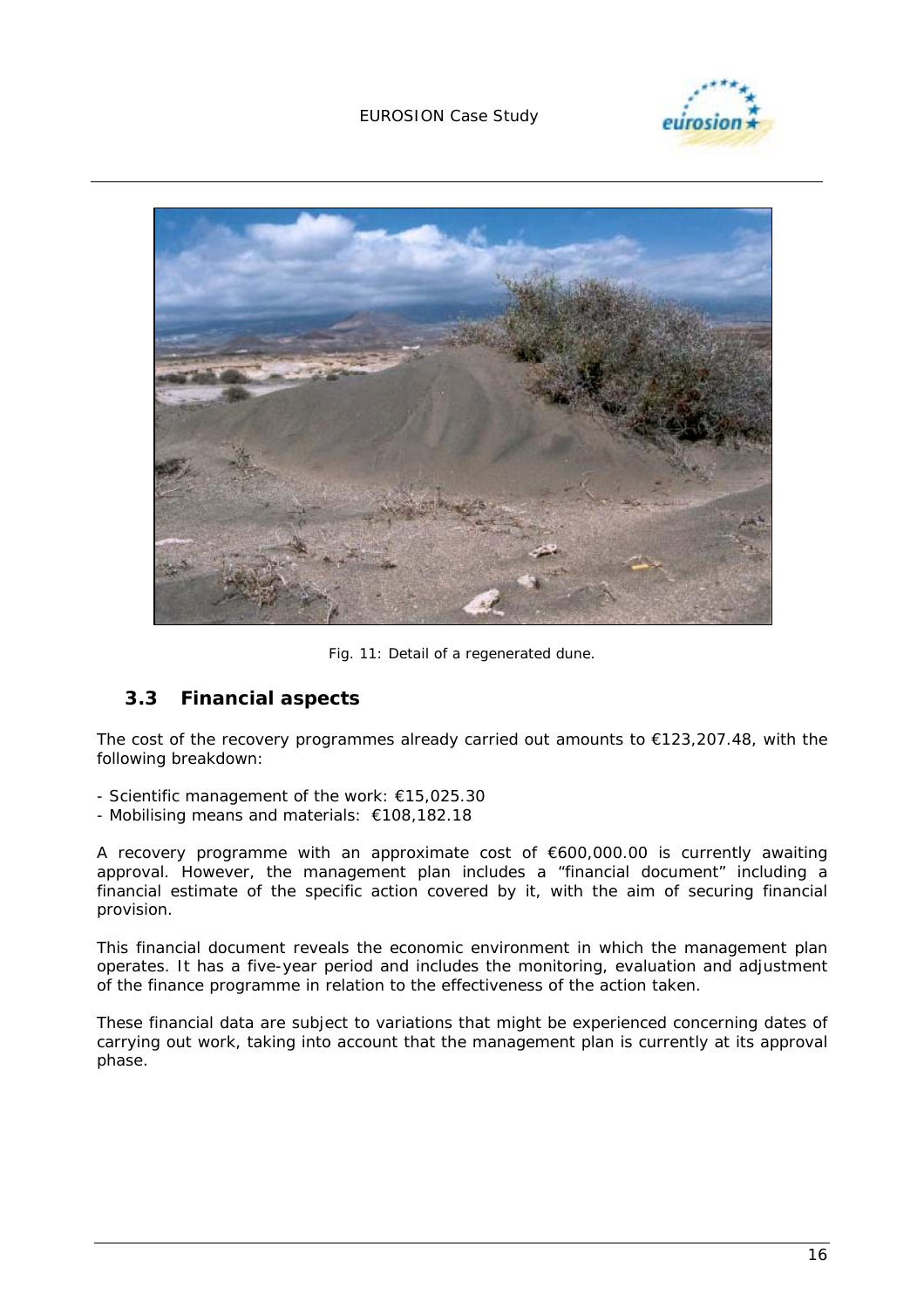



*Fig. 11: Detail of a regenerated dune.*

### **3.3 Financial aspects**

The cost of the recovery programmes already carried out amounts to  $\epsilon$ 123,207.48, with the following breakdown:

- Scientific management of the work: €15,025.30
- Mobilising means and materials: €108,182.18

A recovery programme with an approximate cost of €600,000.00 is currently awaiting approval. However, the management plan includes a "financial document" including a financial estimate of the specific action covered by it, with the aim of securing financial provision.

This financial document reveals the economic environment in which the management plan operates. It has a five-year period and includes the monitoring, evaluation and adjustment of the finance programme in relation to the effectiveness of the action taken.

These financial data are subject to variations that might be experienced concerning dates of carrying out work, taking into account that the management plan is currently at its approval phase.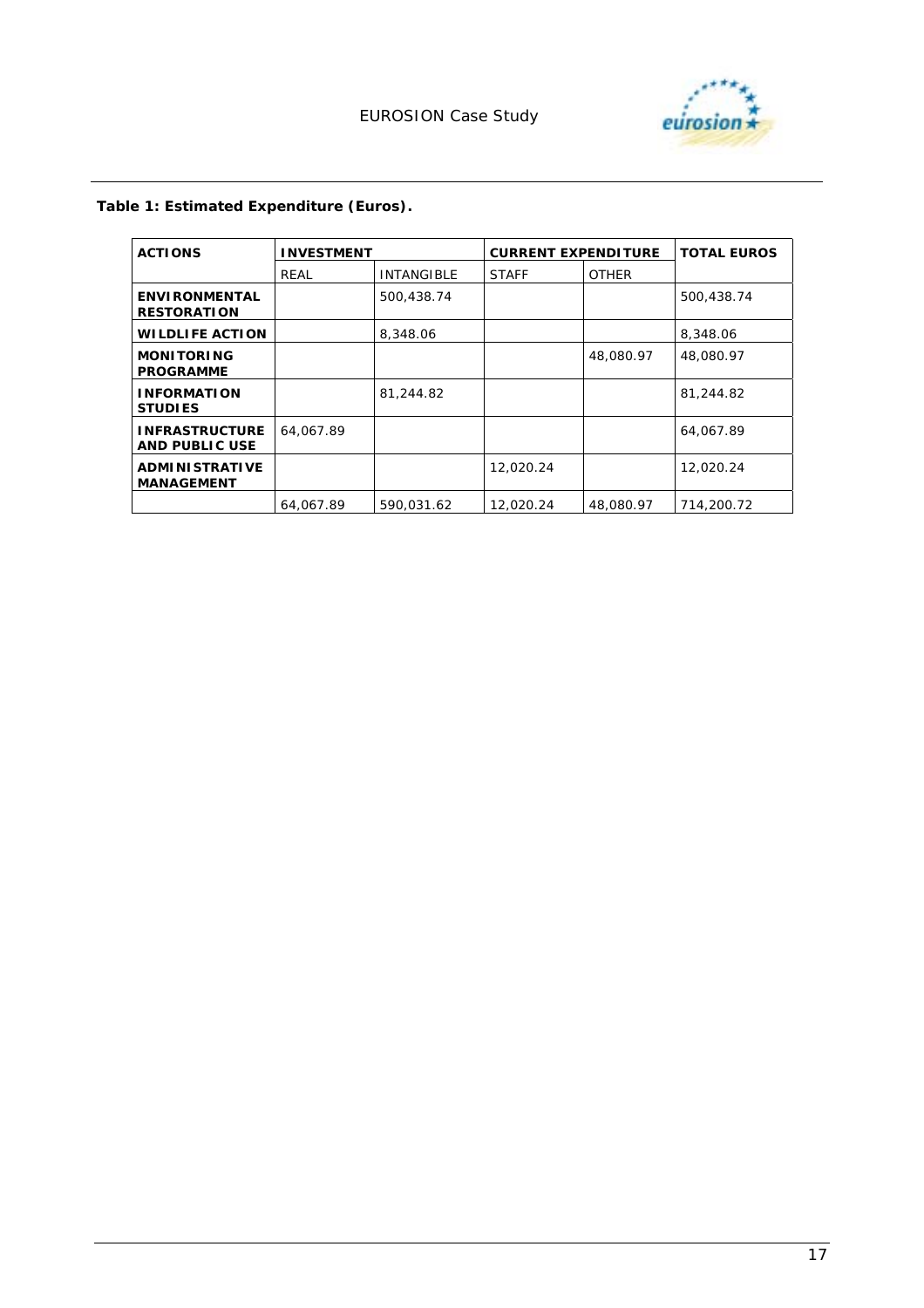

### *Table 1: Estimated Expenditure (Euros).*

| <b>ACTIONS</b>                                 | <b>INVESTMENT</b> |                   | <b>CURRENT EXPENDITURE</b> |              | <b>TOTAL EUROS</b> |
|------------------------------------------------|-------------------|-------------------|----------------------------|--------------|--------------------|
|                                                | REAL              | <b>INTANGIBLE</b> | <b>STAFF</b>               | <b>OTHER</b> |                    |
| <b>ENVIRONMENTAL</b><br><b>RESTORATION</b>     |                   | 500,438.74        |                            |              | 500,438.74         |
| <b>WILDLIFE ACTION</b>                         |                   | 8,348.06          |                            |              | 8,348.06           |
| <b>MONITORING</b><br><b>PROGRAMME</b>          |                   |                   |                            | 48,080.97    | 48.080.97          |
| <b>INFORMATION</b><br><b>STUDIES</b>           |                   | 81,244.82         |                            |              | 81,244.82          |
| <b>INFRASTRUCTURE</b><br><b>AND PUBLIC USE</b> | 64.067.89         |                   |                            |              | 64.067.89          |
| <b>ADMINISTRATIVE</b><br><b>MANAGEMENT</b>     |                   |                   | 12,020.24                  |              | 12.020.24          |
|                                                | 64.067.89         | 590,031.62        | 12,020.24                  | 48,080.97    | 714,200.72         |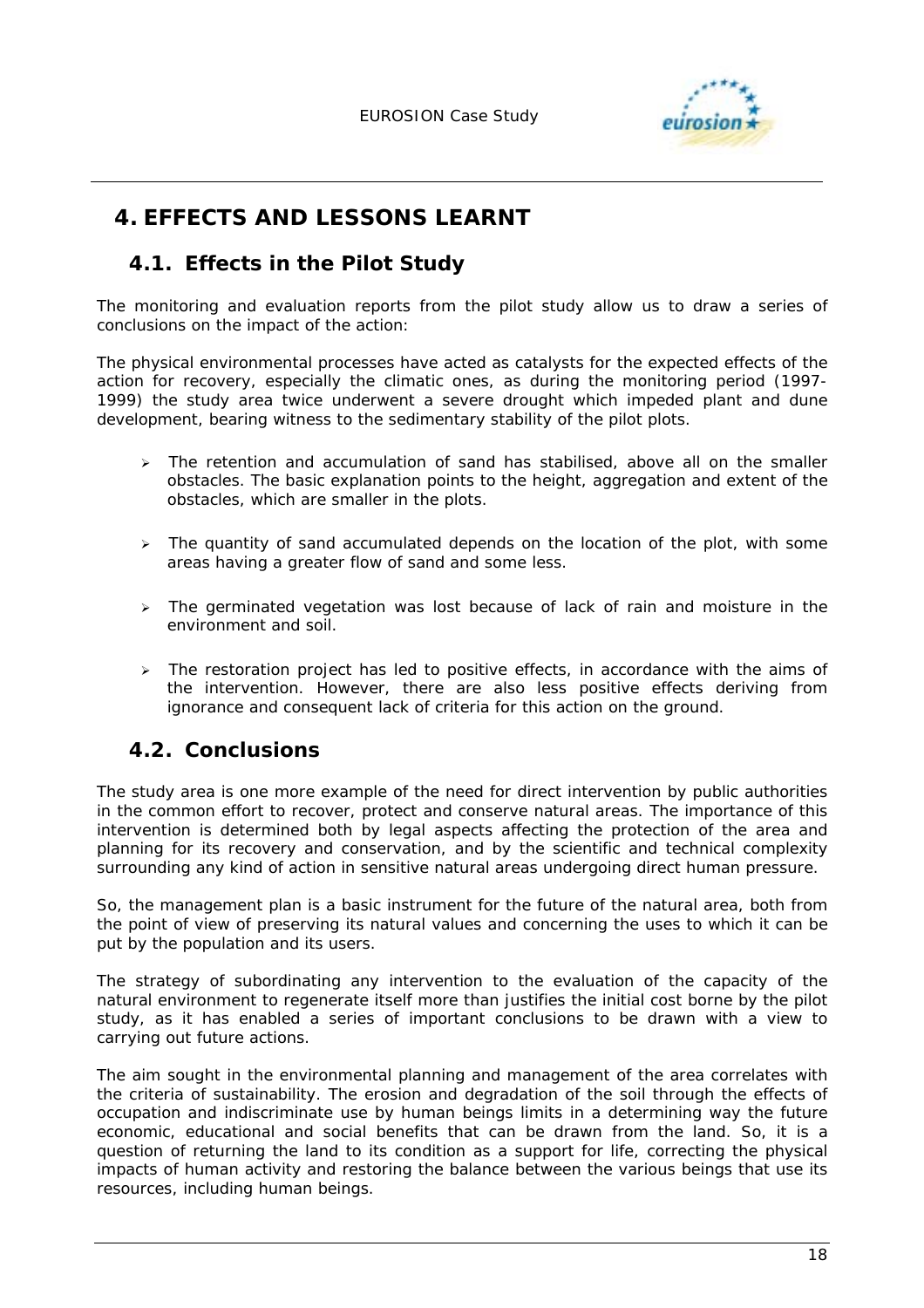

# **4. EFFECTS AND LESSONS LEARNT**

### **4.1. Effects in the Pilot Study**

The monitoring and evaluation reports from the pilot study allow us to draw a series of conclusions on the impact of the action:

The physical environmental processes have acted as catalysts for the expected effects of the action for recovery, especially the climatic ones, as during the monitoring period (1997- 1999) the study area twice underwent a severe drought which impeded plant and dune development, bearing witness to the sedimentary stability of the pilot plots.

- $\geq$  The retention and accumulation of sand has stabilised, above all on the smaller obstacles. The basic explanation points to the height, aggregation and extent of the obstacles, which are smaller in the plots.
- $\geq$  The quantity of sand accumulated depends on the location of the plot, with some areas having a greater flow of sand and some less.
- $\triangleright$  The germinated vegetation was lost because of lack of rain and moisture in the environment and soil.
- $\triangleright$  The restoration project has led to positive effects, in accordance with the aims of the intervention. However, there are also less positive effects deriving from ignorance and consequent lack of criteria for this action on the ground.

### **4.2. Conclusions**

The study area is one more example of the need for direct intervention by public authorities in the common effort to recover, protect and conserve natural areas. The importance of this intervention is determined both by legal aspects affecting the protection of the area and planning for its recovery and conservation, and by the scientific and technical complexity surrounding any kind of action in sensitive natural areas undergoing direct human pressure.

So, the management plan is a basic instrument for the future of the natural area, both from the point of view of preserving its natural values and concerning the uses to which it can be put by the population and its users.

The strategy of subordinating any intervention to the evaluation of the capacity of the natural environment to regenerate itself more than justifies the initial cost borne by the pilot study, as it has enabled a series of important conclusions to be drawn with a view to carrying out future actions.

The aim sought in the environmental planning and management of the area correlates with the criteria of sustainability. The erosion and degradation of the soil through the effects of occupation and indiscriminate use by human beings limits in a determining way the future economic, educational and social benefits that can be drawn from the land. So, it is a question of returning the land to its condition as a support for life, correcting the physical impacts of human activity and restoring the balance between the various beings that use its resources, including human beings.